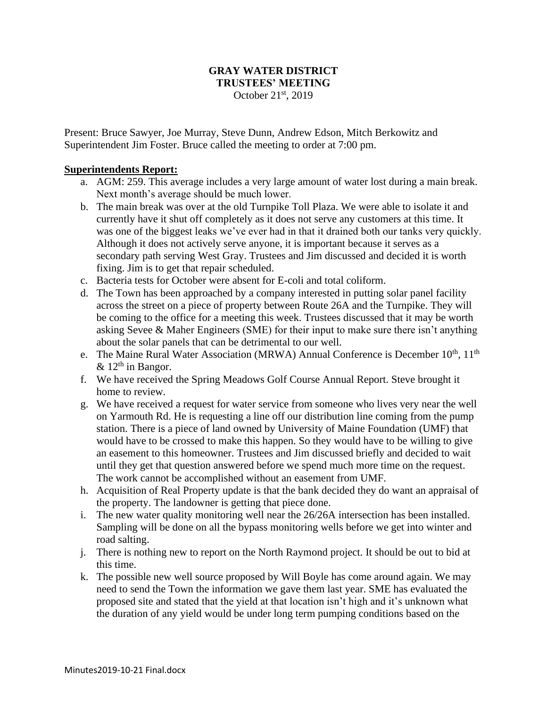## **GRAY WATER DISTRICT TRUSTEES' MEETING** October 21st, 2019

Present: Bruce Sawyer, Joe Murray, Steve Dunn, Andrew Edson, Mitch Berkowitz and Superintendent Jim Foster. Bruce called the meeting to order at 7:00 pm.

#### **Superintendents Report:**

- a. AGM: 259. This average includes a very large amount of water lost during a main break. Next month's average should be much lower.
- b. The main break was over at the old Turnpike Toll Plaza. We were able to isolate it and currently have it shut off completely as it does not serve any customers at this time. It was one of the biggest leaks we've ever had in that it drained both our tanks very quickly. Although it does not actively serve anyone, it is important because it serves as a secondary path serving West Gray. Trustees and Jim discussed and decided it is worth fixing. Jim is to get that repair scheduled.
- c. Bacteria tests for October were absent for E-coli and total coliform.
- d. The Town has been approached by a company interested in putting solar panel facility across the street on a piece of property between Route 26A and the Turnpike. They will be coming to the office for a meeting this week. Trustees discussed that it may be worth asking Sevee & Maher Engineers (SME) for their input to make sure there isn't anything about the solar panels that can be detrimental to our well.
- e. The Maine Rural Water Association (MRWA) Annual Conference is December  $10^{th}$ ,  $11^{th}$  $\&$  12<sup>th</sup> in Bangor.
- f. We have received the Spring Meadows Golf Course Annual Report. Steve brought it home to review.
- g. We have received a request for water service from someone who lives very near the well on Yarmouth Rd. He is requesting a line off our distribution line coming from the pump station. There is a piece of land owned by University of Maine Foundation (UMF) that would have to be crossed to make this happen. So they would have to be willing to give an easement to this homeowner. Trustees and Jim discussed briefly and decided to wait until they get that question answered before we spend much more time on the request. The work cannot be accomplished without an easement from UMF.
- h. Acquisition of Real Property update is that the bank decided they do want an appraisal of the property. The landowner is getting that piece done.
- i. The new water quality monitoring well near the 26/26A intersection has been installed. Sampling will be done on all the bypass monitoring wells before we get into winter and road salting.
- j. There is nothing new to report on the North Raymond project. It should be out to bid at this time.
- k. The possible new well source proposed by Will Boyle has come around again. We may need to send the Town the information we gave them last year. SME has evaluated the proposed site and stated that the yield at that location isn't high and it's unknown what the duration of any yield would be under long term pumping conditions based on the